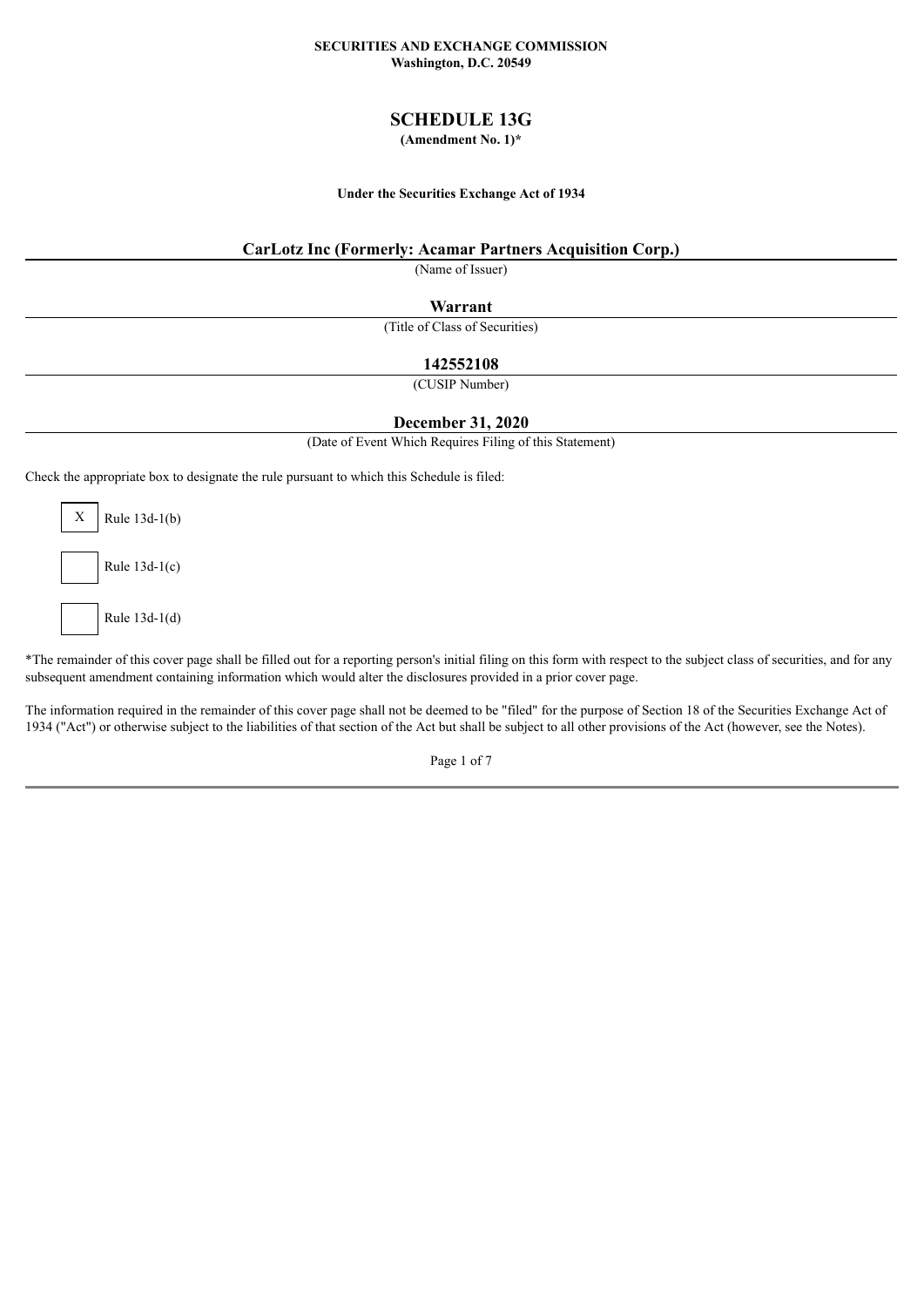#### **SECURITIES AND EXCHANGE COMMISSION Washington, D.C. 20549**

### **SCHEDULE 13G**

### **(Amendment No. 1)\***

#### **Under the Securities Exchange Act of 1934**

### **CarLotz Inc (Formerly: Acamar Partners Acquisition Corp.)**

(Name of Issuer)

**Warrant**

(Title of Class of Securities)

### **142552108**

(CUSIP Number)

### **December 31, 2020**

(Date of Event Which Requires Filing of this Statement)

Check the appropriate box to designate the rule pursuant to which this Schedule is filed:

 $X$  Rule 13d-1(b) Rule 13d-1(c) Rule 13d-1(d)

\*The remainder of this cover page shall be filled out for a reporting person's initial filing on this form with respect to the subject class of securities, and for any subsequent amendment containing information which would alter the disclosures provided in a prior cover page.

The information required in the remainder of this cover page shall not be deemed to be "filed" for the purpose of Section 18 of the Securities Exchange Act of 1934 ("Act") or otherwise subject to the liabilities of that section of the Act but shall be subject to all other provisions of the Act (however, see the Notes).

Page 1 of 7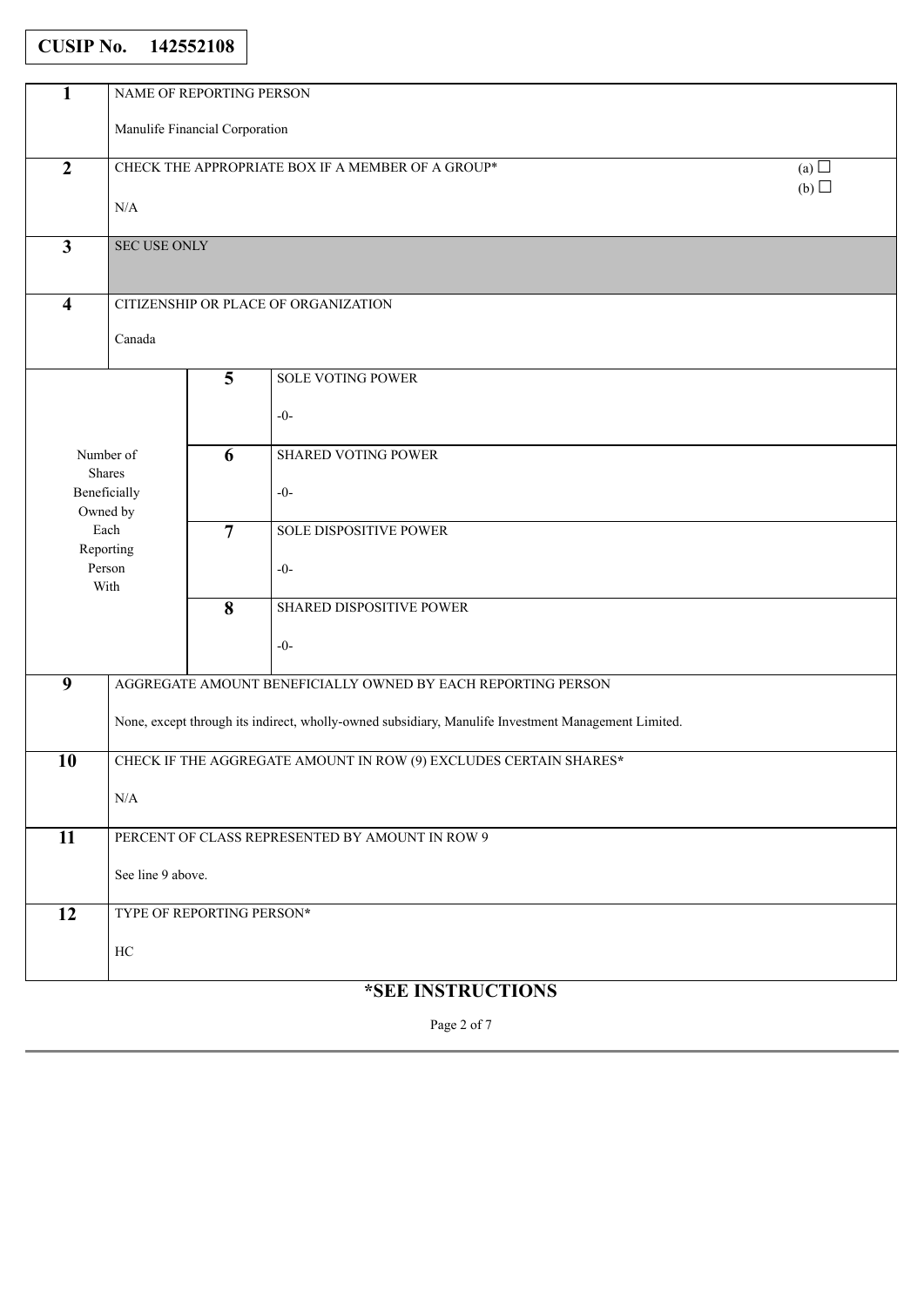# **CUSIP No. 142552108**

| 1                       | NAME OF REPORTING PERSON                                        |                         |                                                                                                     |  |  |  |
|-------------------------|-----------------------------------------------------------------|-------------------------|-----------------------------------------------------------------------------------------------------|--|--|--|
|                         | Manulife Financial Corporation                                  |                         |                                                                                                     |  |  |  |
|                         |                                                                 |                         |                                                                                                     |  |  |  |
| $\overline{2}$          | CHECK THE APPROPRIATE BOX IF A MEMBER OF A GROUP*<br>(a) $\Box$ |                         |                                                                                                     |  |  |  |
|                         | (b)                                                             |                         |                                                                                                     |  |  |  |
|                         | $\rm N/A$                                                       |                         |                                                                                                     |  |  |  |
| $\overline{3}$          | <b>SEC USE ONLY</b>                                             |                         |                                                                                                     |  |  |  |
|                         |                                                                 |                         |                                                                                                     |  |  |  |
|                         |                                                                 |                         |                                                                                                     |  |  |  |
| $\overline{\mathbf{4}}$ | CITIZENSHIP OR PLACE OF ORGANIZATION                            |                         |                                                                                                     |  |  |  |
|                         | Canada                                                          |                         |                                                                                                     |  |  |  |
|                         |                                                                 |                         |                                                                                                     |  |  |  |
|                         |                                                                 | $\overline{\mathbf{5}}$ | SOLE VOTING POWER                                                                                   |  |  |  |
|                         |                                                                 |                         |                                                                                                     |  |  |  |
|                         |                                                                 |                         | $-0-$                                                                                               |  |  |  |
|                         | Number of                                                       | 6                       | <b>SHARED VOTING POWER</b>                                                                          |  |  |  |
|                         | Shares                                                          |                         |                                                                                                     |  |  |  |
|                         | Beneficially                                                    |                         | $-0-$                                                                                               |  |  |  |
|                         | Owned by                                                        |                         |                                                                                                     |  |  |  |
|                         | Each<br>Reporting                                               | $\overline{7}$          | SOLE DISPOSITIVE POWER                                                                              |  |  |  |
|                         | Person                                                          |                         | $-0-$                                                                                               |  |  |  |
|                         | With                                                            |                         |                                                                                                     |  |  |  |
|                         |                                                                 | $\overline{\mathbf{8}}$ | SHARED DISPOSITIVE POWER                                                                            |  |  |  |
|                         |                                                                 |                         | $-0-$                                                                                               |  |  |  |
|                         |                                                                 |                         |                                                                                                     |  |  |  |
| $\overline{9}$          |                                                                 |                         | AGGREGATE AMOUNT BENEFICIALLY OWNED BY EACH REPORTING PERSON                                        |  |  |  |
|                         |                                                                 |                         |                                                                                                     |  |  |  |
|                         |                                                                 |                         | None, except through its indirect, wholly-owned subsidiary, Manulife Investment Management Limited. |  |  |  |
| 10                      |                                                                 |                         | CHECK IF THE AGGREGATE AMOUNT IN ROW (9) EXCLUDES CERTAIN SHARES*                                   |  |  |  |
|                         |                                                                 |                         |                                                                                                     |  |  |  |
|                         | N/A                                                             |                         |                                                                                                     |  |  |  |
|                         |                                                                 |                         |                                                                                                     |  |  |  |
| 11                      |                                                                 |                         | PERCENT OF CLASS REPRESENTED BY AMOUNT IN ROW 9                                                     |  |  |  |
|                         | See line 9 above.                                               |                         |                                                                                                     |  |  |  |
|                         |                                                                 |                         |                                                                                                     |  |  |  |
| 12                      | TYPE OF REPORTING PERSON*                                       |                         |                                                                                                     |  |  |  |
|                         |                                                                 |                         |                                                                                                     |  |  |  |
|                         | $\rm HC$                                                        |                         |                                                                                                     |  |  |  |
|                         |                                                                 |                         | <i><b>*SEE INSTRUCTIONS</b></i>                                                                     |  |  |  |

Page 2 of 7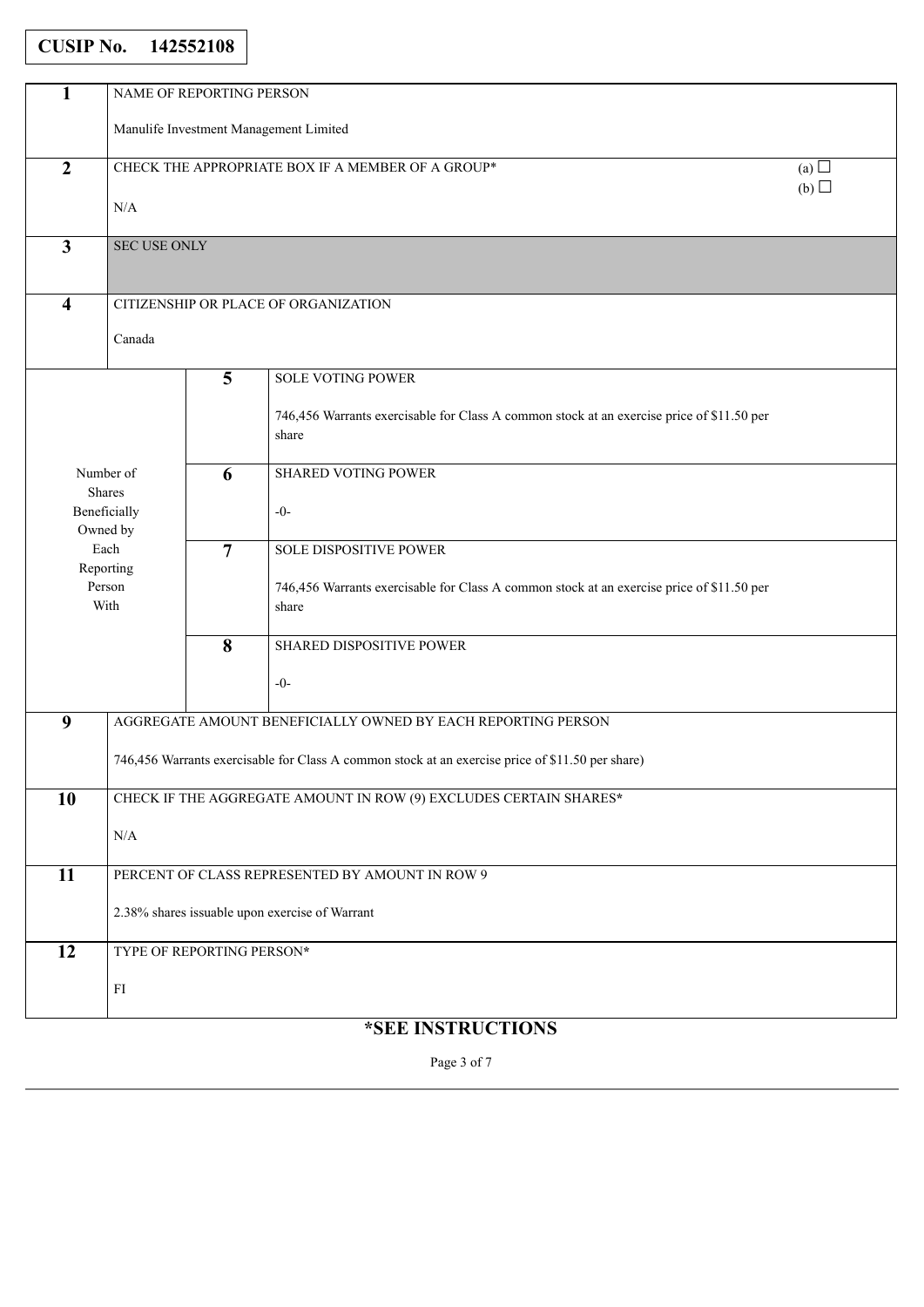### **CUSIP No. 142552108**

| 1                       | NAME OF REPORTING PERSON                                        |                           |                                                                                                    |  |  |
|-------------------------|-----------------------------------------------------------------|---------------------------|----------------------------------------------------------------------------------------------------|--|--|
|                         | Manulife Investment Management Limited                          |                           |                                                                                                    |  |  |
| $\overline{2}$          | CHECK THE APPROPRIATE BOX IF A MEMBER OF A GROUP*<br>(a) $\Box$ |                           |                                                                                                    |  |  |
|                         | (b)<br>N/A                                                      |                           |                                                                                                    |  |  |
|                         |                                                                 |                           |                                                                                                    |  |  |
| $\mathbf{3}$            | <b>SEC USE ONLY</b>                                             |                           |                                                                                                    |  |  |
| $\overline{\mathbf{4}}$ | CITIZENSHIP OR PLACE OF ORGANIZATION                            |                           |                                                                                                    |  |  |
|                         |                                                                 |                           |                                                                                                    |  |  |
|                         | Canada                                                          |                           |                                                                                                    |  |  |
|                         |                                                                 | $5\overline{)}$           | <b>SOLE VOTING POWER</b>                                                                           |  |  |
|                         |                                                                 |                           | 746,456 Warrants exercisable for Class A common stock at an exercise price of \$11.50 per<br>share |  |  |
|                         |                                                                 |                           |                                                                                                    |  |  |
|                         | Number of<br>Shares                                             | 6                         | <b>SHARED VOTING POWER</b>                                                                         |  |  |
|                         | Beneficially<br>Owned by                                        |                           | $-0-$                                                                                              |  |  |
|                         | Each                                                            | $\overline{7}$            | SOLE DISPOSITIVE POWER                                                                             |  |  |
|                         | Reporting<br>Person<br>With                                     |                           | 746,456 Warrants exercisable for Class A common stock at an exercise price of \$11.50 per<br>share |  |  |
|                         |                                                                 | $\overline{\mathbf{8}}$   | SHARED DISPOSITIVE POWER                                                                           |  |  |
|                         |                                                                 |                           |                                                                                                    |  |  |
|                         |                                                                 |                           | $-0-$                                                                                              |  |  |
| 9                       |                                                                 |                           | AGGREGATE AMOUNT BENEFICIALLY OWNED BY EACH REPORTING PERSON                                       |  |  |
|                         |                                                                 |                           | 746,456 Warrants exercisable for Class A common stock at an exercise price of \$11.50 per share)   |  |  |
| 10                      |                                                                 |                           | CHECK IF THE AGGREGATE AMOUNT IN ROW (9) EXCLUDES CERTAIN SHARES*                                  |  |  |
|                         | $\rm N/A$                                                       |                           |                                                                                                    |  |  |
| $\overline{11}$         |                                                                 |                           | PERCENT OF CLASS REPRESENTED BY AMOUNT IN ROW 9                                                    |  |  |
|                         |                                                                 |                           |                                                                                                    |  |  |
|                         | 2.38% shares issuable upon exercise of Warrant                  |                           |                                                                                                    |  |  |
| $\overline{12}$         |                                                                 | TYPE OF REPORTING PERSON* |                                                                                                    |  |  |
|                         | $\rm{FI}$                                                       |                           |                                                                                                    |  |  |
|                         |                                                                 |                           |                                                                                                    |  |  |

## **\*SEE INSTRUCTIONS**

Page 3 of 7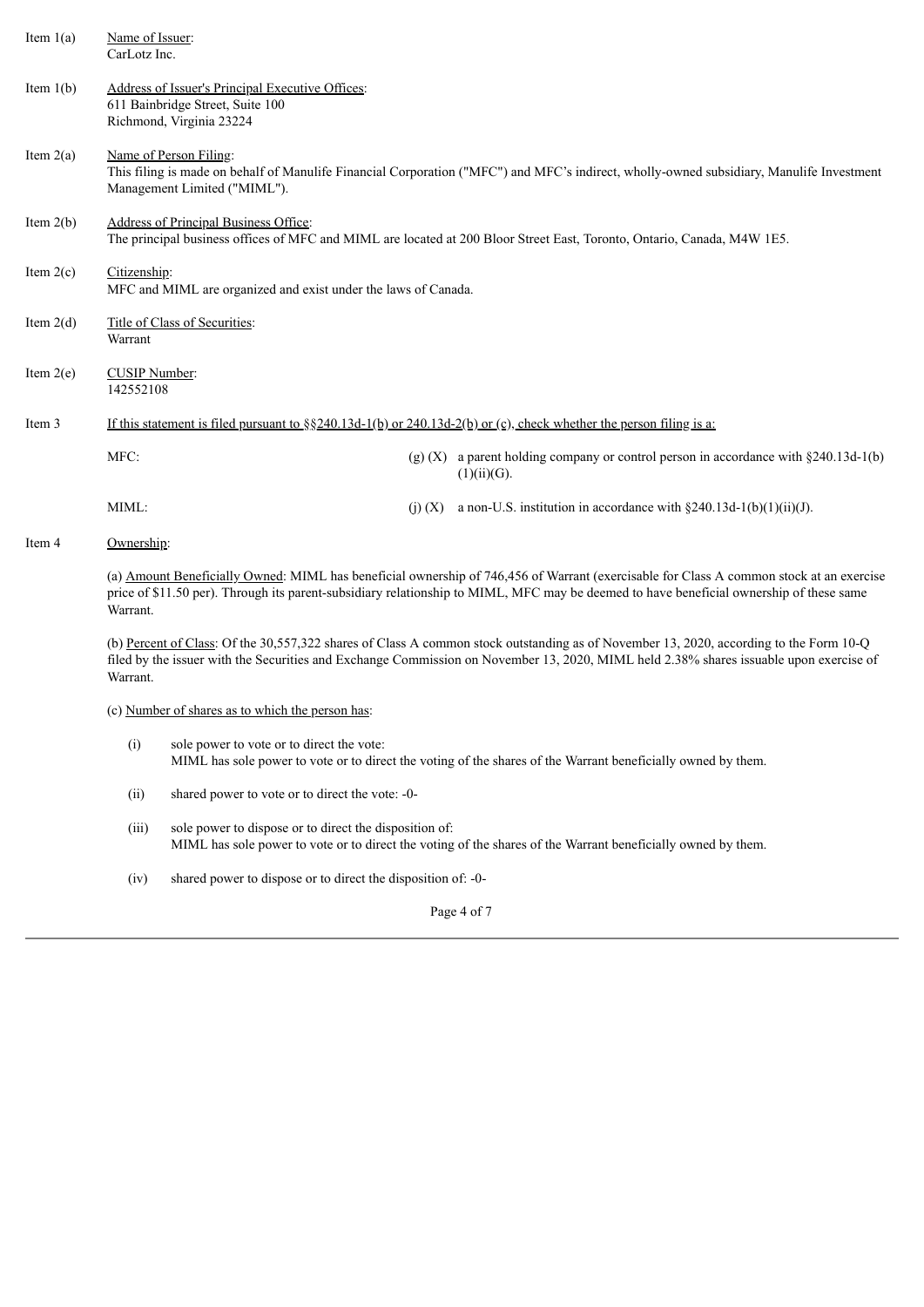| Item $1(a)$                                                                                                                                                                                                                                                                                    | Name of Issuer:<br>CarLotz Inc.                                                                                                                                                                                                                                                              |                                                                                                                                                                                                    |             |                                                                                                                        |  |
|------------------------------------------------------------------------------------------------------------------------------------------------------------------------------------------------------------------------------------------------------------------------------------------------|----------------------------------------------------------------------------------------------------------------------------------------------------------------------------------------------------------------------------------------------------------------------------------------------|----------------------------------------------------------------------------------------------------------------------------------------------------------------------------------------------------|-------------|------------------------------------------------------------------------------------------------------------------------|--|
| Item $1(b)$                                                                                                                                                                                                                                                                                    | Richmond, Virginia 23224                                                                                                                                                                                                                                                                     | Address of Issuer's Principal Executive Offices:<br>611 Bainbridge Street, Suite 100                                                                                                               |             |                                                                                                                        |  |
| Item $2(a)$                                                                                                                                                                                                                                                                                    |                                                                                                                                                                                                                                                                                              | Name of Person Filing:<br>This filing is made on behalf of Manulife Financial Corporation ("MFC") and MFC's indirect, wholly-owned subsidiary, Manulife Investment<br>Management Limited ("MIML"). |             |                                                                                                                        |  |
| Item $2(b)$                                                                                                                                                                                                                                                                                    |                                                                                                                                                                                                                                                                                              | Address of Principal Business Office:<br>The principal business offices of MFC and MIML are located at 200 Bloor Street East, Toronto, Ontario, Canada, M4W 1E5.                                   |             |                                                                                                                        |  |
| Item $2(c)$                                                                                                                                                                                                                                                                                    | Citizenship:                                                                                                                                                                                                                                                                                 | MFC and MIML are organized and exist under the laws of Canada.                                                                                                                                     |             |                                                                                                                        |  |
| Item $2(d)$                                                                                                                                                                                                                                                                                    | Warrant                                                                                                                                                                                                                                                                                      | Title of Class of Securities:                                                                                                                                                                      |             |                                                                                                                        |  |
| Item $2(e)$                                                                                                                                                                                                                                                                                    | 142552108                                                                                                                                                                                                                                                                                    | CUSIP Number:                                                                                                                                                                                      |             |                                                                                                                        |  |
| Item 3                                                                                                                                                                                                                                                                                         |                                                                                                                                                                                                                                                                                              |                                                                                                                                                                                                    |             | If this statement is filed pursuant to $\S$ 240.13d-1(b) or 240.13d-2(b) or (c), check whether the person filing is a: |  |
|                                                                                                                                                                                                                                                                                                | MFC:                                                                                                                                                                                                                                                                                         |                                                                                                                                                                                                    |             | (g) (X) a parent holding company or control person in accordance with $\S 240.13d-1(b)$<br>(1)(ii)(G).                 |  |
|                                                                                                                                                                                                                                                                                                | MIML:                                                                                                                                                                                                                                                                                        |                                                                                                                                                                                                    | $(i)$ $(X)$ | a non-U.S. institution in accordance with $\S 240.13d-1(b)(1)(ii)(J)$ .                                                |  |
| Item 4                                                                                                                                                                                                                                                                                         | Ownership:                                                                                                                                                                                                                                                                                   |                                                                                                                                                                                                    |             |                                                                                                                        |  |
| (a) Amount Beneficially Owned: MIML has beneficial ownership of 746,456 of Warrant (exercisable for Class A common stock at an exercise<br>price of \$11.50 per). Through its parent-subsidiary relationship to MIML, MFC may be deemed to have beneficial ownership of these same<br>Warrant. |                                                                                                                                                                                                                                                                                              |                                                                                                                                                                                                    |             |                                                                                                                        |  |
|                                                                                                                                                                                                                                                                                                | (b) Percent of Class: Of the 30,557,322 shares of Class A common stock outstanding as of November 13, 2020, according to the Form 10-Q<br>filed by the issuer with the Securities and Exchange Commission on November 13, 2020, MIML held 2.38% shares issuable upon exercise of<br>Warrant. |                                                                                                                                                                                                    |             |                                                                                                                        |  |
|                                                                                                                                                                                                                                                                                                | (c) Number of shares as to which the person has:                                                                                                                                                                                                                                             |                                                                                                                                                                                                    |             |                                                                                                                        |  |
|                                                                                                                                                                                                                                                                                                | (i)                                                                                                                                                                                                                                                                                          | sole power to vote or to direct the vote:                                                                                                                                                          |             | MIML has sole power to vote or to direct the voting of the shares of the Warrant beneficially owned by them.           |  |
|                                                                                                                                                                                                                                                                                                | (ii)                                                                                                                                                                                                                                                                                         | shared power to vote or to direct the vote: -0-                                                                                                                                                    |             |                                                                                                                        |  |
|                                                                                                                                                                                                                                                                                                | (iii)                                                                                                                                                                                                                                                                                        | sole power to dispose or to direct the disposition of:                                                                                                                                             |             | MIML has sole power to vote or to direct the voting of the shares of the Warrant beneficially owned by them.           |  |

(iv) shared power to dispose or to direct the disposition of: -0-

Page 4 of 7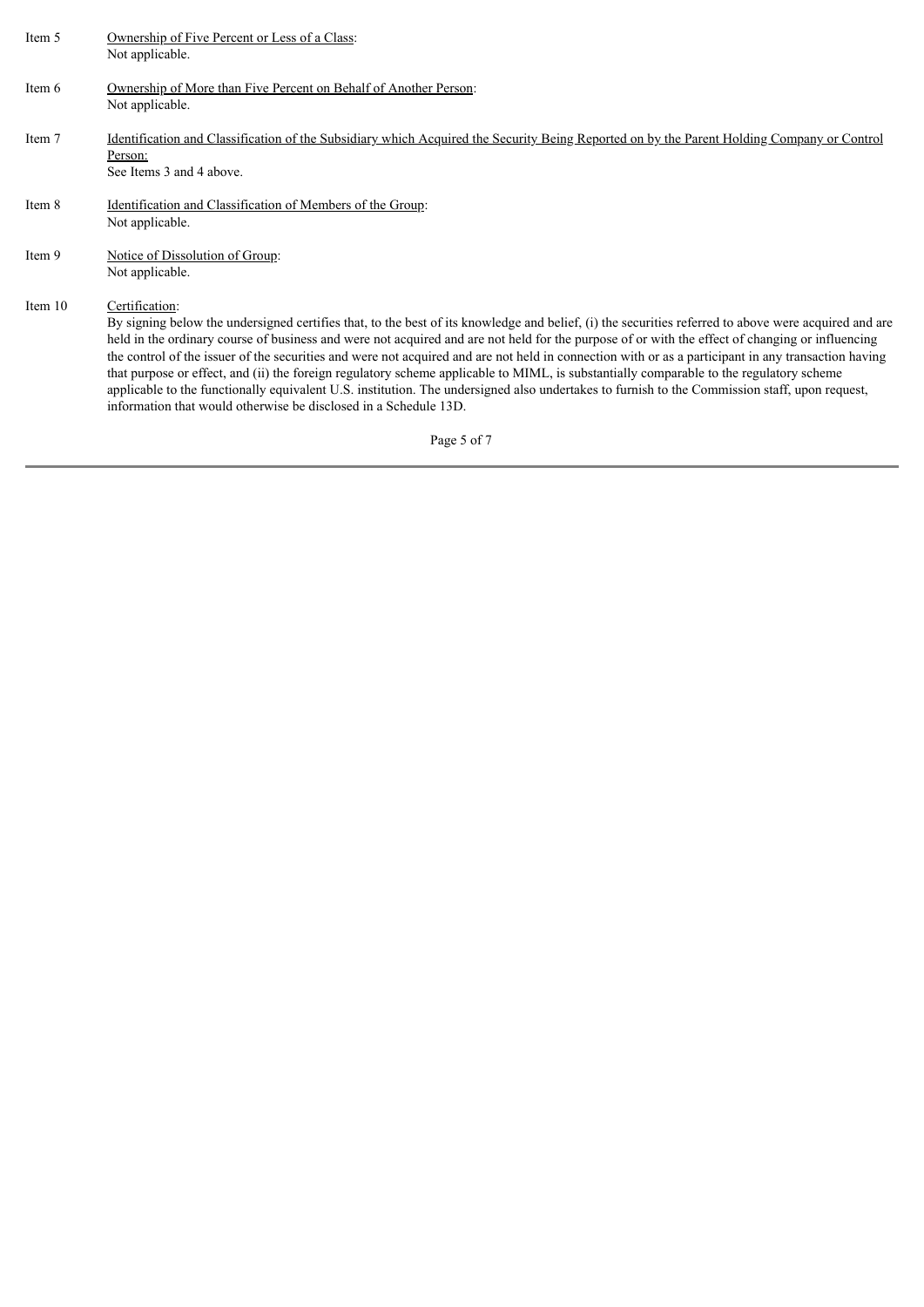| Item 5  | Ownership of Five Percent or Less of a Class:<br>Not applicable.                                                                                                                                                                                                                                                                                                                                                                                                                                                                                                                                                                                                                                                                                                                                                                                 |
|---------|--------------------------------------------------------------------------------------------------------------------------------------------------------------------------------------------------------------------------------------------------------------------------------------------------------------------------------------------------------------------------------------------------------------------------------------------------------------------------------------------------------------------------------------------------------------------------------------------------------------------------------------------------------------------------------------------------------------------------------------------------------------------------------------------------------------------------------------------------|
| Item 6  | Ownership of More than Five Percent on Behalf of Another Person:<br>Not applicable.                                                                                                                                                                                                                                                                                                                                                                                                                                                                                                                                                                                                                                                                                                                                                              |
| Item 7  | Identification and Classification of the Subsidiary which Acquired the Security Being Reported on by the Parent Holding Company or Control<br>Person:<br>See Items 3 and 4 above.                                                                                                                                                                                                                                                                                                                                                                                                                                                                                                                                                                                                                                                                |
| Item 8  | Identification and Classification of Members of the Group:<br>Not applicable.                                                                                                                                                                                                                                                                                                                                                                                                                                                                                                                                                                                                                                                                                                                                                                    |
| Item 9  | Notice of Dissolution of Group:<br>Not applicable.                                                                                                                                                                                                                                                                                                                                                                                                                                                                                                                                                                                                                                                                                                                                                                                               |
| Item 10 | Certification:<br>By signing below the undersigned certifies that, to the best of its knowledge and belief, (i) the securities referred to above were acquired and are<br>held in the ordinary course of business and were not acquired and are not held for the purpose of or with the effect of changing or influencing<br>the control of the issuer of the securities and were not acquired and are not held in connection with or as a participant in any transaction having<br>that purpose or effect, and (ii) the foreign regulatory scheme applicable to MIML, is substantially comparable to the regulatory scheme<br>applicable to the functionally equivalent U.S. institution. The undersigned also undertakes to furnish to the Commission staff, upon request,<br>information that would otherwise be disclosed in a Schedule 13D. |
|         | Page 5 of 7                                                                                                                                                                                                                                                                                                                                                                                                                                                                                                                                                                                                                                                                                                                                                                                                                                      |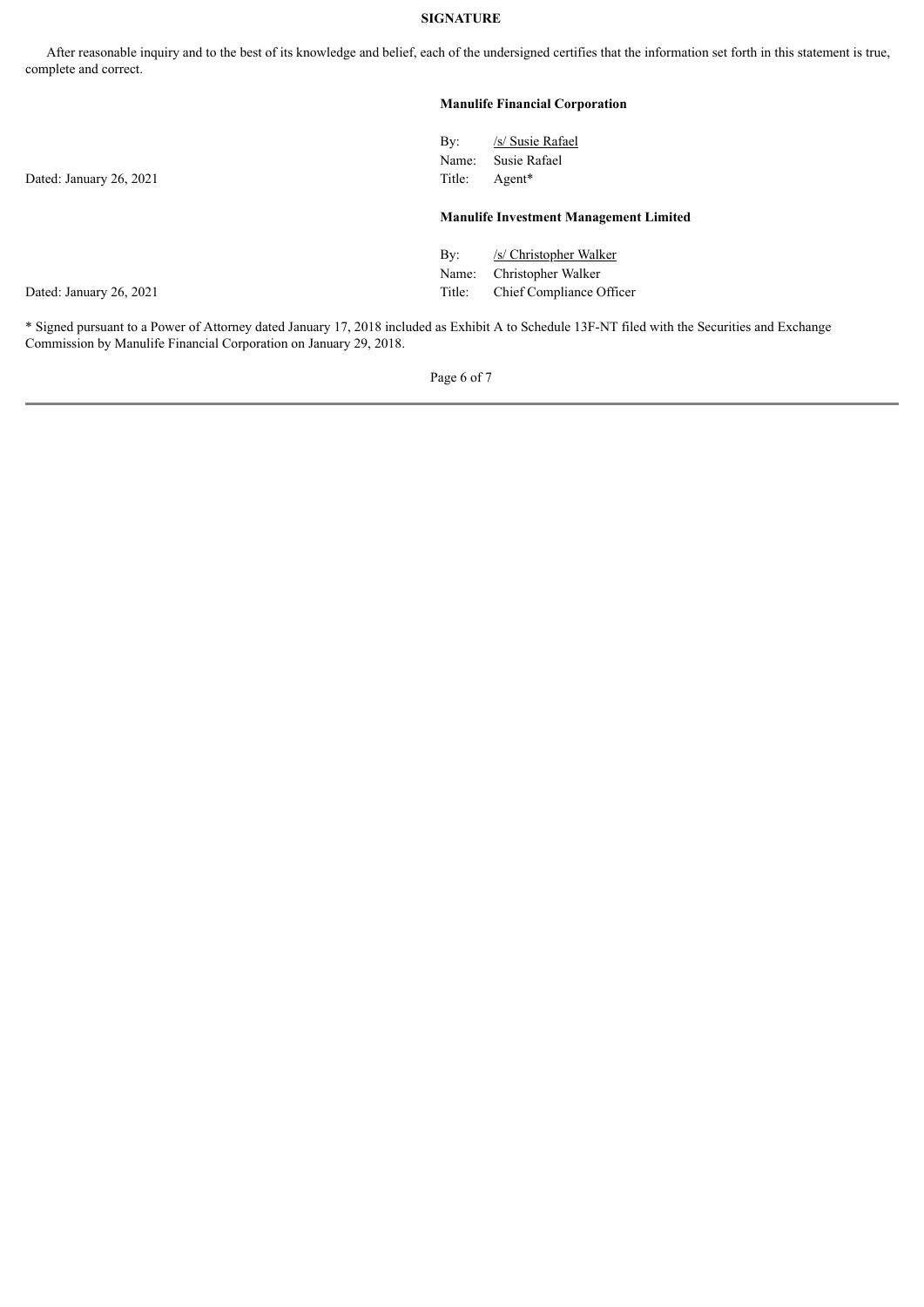### **SIGNATURE**

After reasonable inquiry and to the best of its knowledge and belief, each of the undersigned certifies that the information set forth in this statement is true, complete and correct.

# **Manulife Financial Corporation** By: /s/ Susie Rafael Name: Susie Rafael Dated: January 26, 2021 Title: Agent\* **Manulife Investment Management Limited** By: /s/ Christopher Walker Name: Christopher Walker Dated: January 26, 2021 Title: Chief Compliance Officer

\* Signed pursuant to a Power of Attorney dated January 17, 2018 included as Exhibit A to Schedule 13F-NT filed with the Securities and Exchange Commission by Manulife Financial Corporation on January 29, 2018.

Page 6 of 7